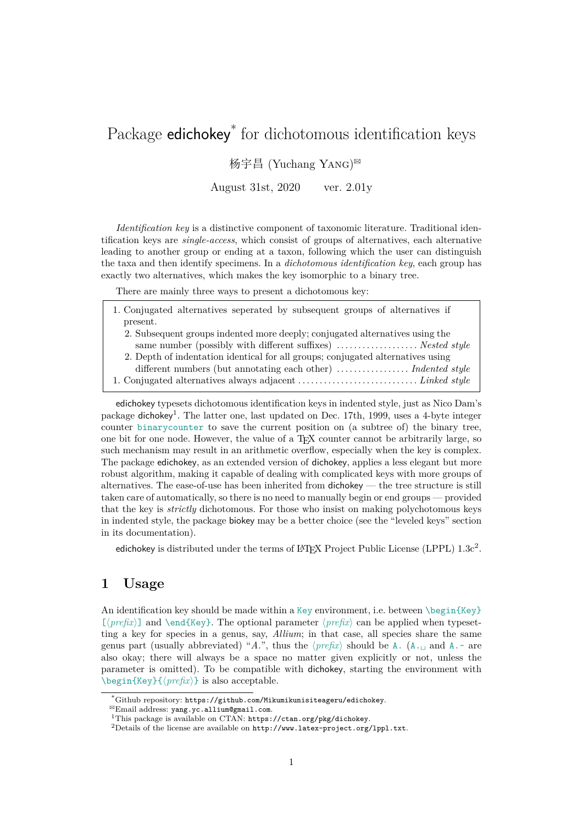# Package edichokey<sup>\*</sup> for dichotomous identification keys

### 杨宇昌 (Yuchang YANG)<sup>⊠</sup>

August 31st, 2020 ver. 2.01y

*Identification key* is a distinctive component of taxonomic literature. Traditional identification keys are *single-access*, which consist of groups of alternatives, each alternative leading to another group or ending at a taxon, following which the user can distinguish the taxa and then identify specimens. In a *dichotomous identification key*, each group has exactly two alternatives, which makes the key isomorphic to a binary tree.

There are mainly three ways to present a dichotomous key:

- 1. Conjugated alternatives seperated by subsequent groups of alternatives if present.
	- 2. Subsequent groups indented more deeply; conjugated alternatives using the same number (possibly with different suffixes) ................... *Nested style*
	- 2. Depth of indentation identical for all groups; conjugated alternatives using different numbers (but annotating each other) ................ *Indented style*
- 1. Conjugated alternatives always adjacent . . . . . . . . . . . . . . . . . . . . . . . . . . . . *Linked style*

edichokey typesets dichotomous identification keys in indented style, just as Nico Dam's package dichokey<sup>1</sup>. The latter one, last updated on Dec. 17th, 1999, uses a 4-byte integer counter binarycounter to save the current position on (a subtree of) the binary tree, one bit for one node. However, the value of a  $T_F X$  counter cannot be arbitrarily large, so such mechanism may result in an arithmetic overflow, especially when the key is complex. The package edi[ch](#page-0-0)okey, as an extended version of dichokey, applies a less elegant but more robust algorithm, making it capable of dealing with complicated keys with more groups of alternatives. The ease-of-use has been inherited from dichokey — the tree structure is still taken care of automatically, so there is no need to manually begin or end groups — provided that the key is *strictly* dichotomous. For those who insist on making polychotomous keys in indented style, the package biokey may be a better choice (see the "leveled keys" section in its documentation).

edichokey is distributed under the terms of LAT<sub>E</sub>X Project Public License (LPPL)  $1.3c^2$ .

# **1 Usage**

An identification key should be made within a Key environment, i.e. between  $\begin{array}{c} \begin{array}{c} \text{Key} \end{array} \end{array}$ [*⟨prefix⟩*] and \end{Key}. The optional parameter *⟨prefix⟩* can be applied when typesetting a key for species in a genus, say, *Allium*; in that case, all species share the same genus part (usually abbreviated) "*A.*", thus the  $\langle prefix \rangle$  should be A. (A.<sub> $\perp$ </sub> and A.~ are also okay; there will always be a space no matter given explicitly or not, unless the parameter is omitted). To be compatible with dichokey, starting the environment with \begin{Key}{*⟨prefix⟩*} is also acceptable.

<sup>\*</sup>Github repository: https://github.com/Mikumikunisiteageru/edichokey.

 $^{\boxtimes}$ Email address: yang.yc.allium@gmail.com.

<sup>&</sup>lt;sup>1</sup>This package is available on CTAN: https://ctan.org/pkg/dichokey.

<span id="page-0-0"></span><sup>&</sup>lt;sup>2</sup>Details of the license are available on http://www.latex-project.org/1ppl.txt.